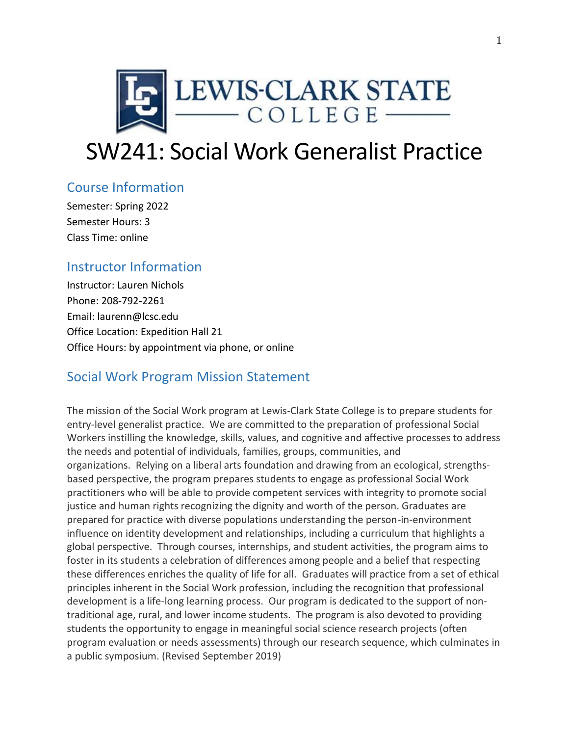

# SW241: Social Work Generalist Practice

## Course Information

Semester: Spring 2022 Semester Hours: 3 Class Time: online

## Instructor Information

Instructor: Lauren Nichols Phone: 208-792-2261 Email: laurenn@lcsc.edu Office Location: Expedition Hall 21 Office Hours: by appointment via phone, or online

## Social Work Program Mission Statement

The mission of the Social Work program at Lewis-Clark State College is to prepare students for entry-level generalist practice. We are committed to the preparation of professional Social Workers instilling the knowledge, skills, values, and cognitive and affective processes to address the needs and potential of individuals, families, groups, communities, and organizations. Relying on a liberal arts foundation and drawing from an ecological, strengthsbased perspective, the program prepares students to engage as professional Social Work practitioners who will be able to provide competent services with integrity to promote social justice and human rights recognizing the dignity and worth of the person. Graduates are prepared for practice with diverse populations understanding the person-in-environment influence on identity development and relationships, including a curriculum that highlights a global perspective. Through courses, internships, and student activities, the program aims to foster in its students a celebration of differences among people and a belief that respecting these differences enriches the quality of life for all. Graduates will practice from a set of ethical principles inherent in the Social Work profession, including the recognition that professional development is a life-long learning process. Our program is dedicated to the support of nontraditional age, rural, and lower income students. The program is also devoted to providing students the opportunity to engage in meaningful social science research projects (often program evaluation or needs assessments) through our research sequence, which culminates in a public symposium. (Revised September 2019)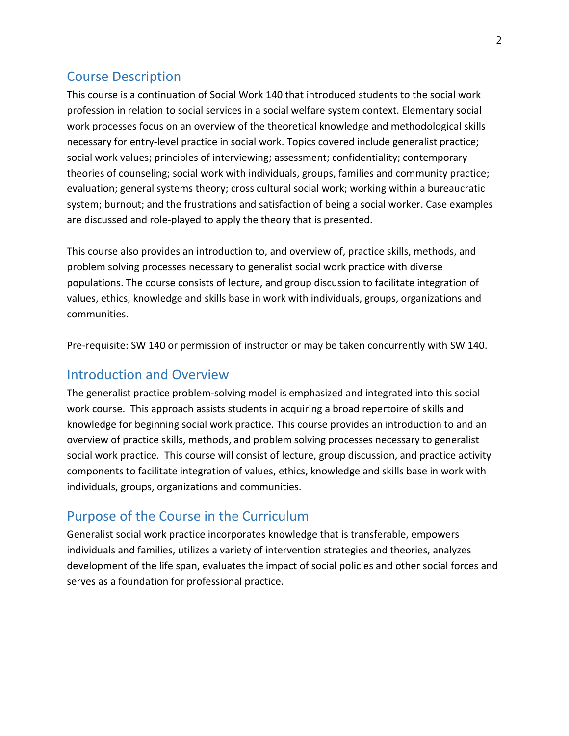## Course Description

This course is a continuation of Social Work 140 that introduced students to the social work profession in relation to social services in a social welfare system context. Elementary social work processes focus on an overview of the theoretical knowledge and methodological skills necessary for entry-level practice in social work. Topics covered include generalist practice; social work values; principles of interviewing; assessment; confidentiality; contemporary theories of counseling; social work with individuals, groups, families and community practice; evaluation; general systems theory; cross cultural social work; working within a bureaucratic system; burnout; and the frustrations and satisfaction of being a social worker. Case examples are discussed and role-played to apply the theory that is presented.

This course also provides an introduction to, and overview of, practice skills, methods, and problem solving processes necessary to generalist social work practice with diverse populations. The course consists of lecture, and group discussion to facilitate integration of values, ethics, knowledge and skills base in work with individuals, groups, organizations and communities.

Pre-requisite: SW 140 or permission of instructor or may be taken concurrently with SW 140.

### Introduction and Overview

The generalist practice problem-solving model is emphasized and integrated into this social work course. This approach assists students in acquiring a broad repertoire of skills and knowledge for beginning social work practice. This course provides an introduction to and an overview of practice skills, methods, and problem solving processes necessary to generalist social work practice. This course will consist of lecture, group discussion, and practice activity components to facilitate integration of values, ethics, knowledge and skills base in work with individuals, groups, organizations and communities.

## Purpose of the Course in the Curriculum

Generalist social work practice incorporates knowledge that is transferable, empowers individuals and families, utilizes a variety of intervention strategies and theories, analyzes development of the life span, evaluates the impact of social policies and other social forces and serves as a foundation for professional practice.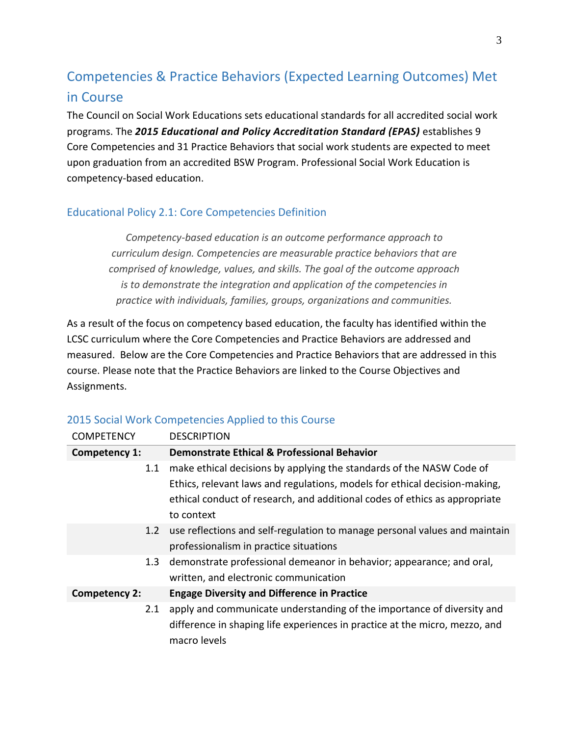## Competencies & Practice Behaviors (Expected Learning Outcomes) Met in Course

The Council on Social Work Educations sets educational standards for all accredited social work programs. The *2015 Educational and Policy Accreditation Standard (EPAS)* establishes 9 Core Competencies and 31 Practice Behaviors that social work students are expected to meet upon graduation from an accredited BSW Program. Professional Social Work Education is competency-based education.

#### Educational Policy 2.1: Core Competencies Definition

*Competency-based education is an outcome performance approach to curriculum design. Competencies are measurable practice behaviors that are comprised of knowledge, values, and skills. The goal of the outcome approach is to demonstrate the integration and application of the competencies in practice with individuals, families, groups, organizations and communities.*

As a result of the focus on competency based education, the faculty has identified within the LCSC curriculum where the Core Competencies and Practice Behaviors are addressed and measured. Below are the Core Competencies and Practice Behaviors that are addressed in this course. Please note that the Practice Behaviors are linked to the Course Objectives and Assignments.

| <b>COMPETENCY</b>    | <b>DESCRIPTION</b>                                                          |
|----------------------|-----------------------------------------------------------------------------|
| Competency 1:        | <b>Demonstrate Ethical &amp; Professional Behavior</b>                      |
| 1.1                  | make ethical decisions by applying the standards of the NASW Code of        |
|                      | Ethics, relevant laws and regulations, models for ethical decision-making,  |
|                      | ethical conduct of research, and additional codes of ethics as appropriate  |
|                      | to context                                                                  |
| 1.2 <sub>2</sub>     | use reflections and self-regulation to manage personal values and maintain  |
|                      | professionalism in practice situations                                      |
| 1.3                  | demonstrate professional demeanor in behavior; appearance; and oral,        |
|                      | written, and electronic communication                                       |
| <b>Competency 2:</b> | <b>Engage Diversity and Difference in Practice</b>                          |
| 2.1                  | apply and communicate understanding of the importance of diversity and      |
|                      | difference in shaping life experiences in practice at the micro, mezzo, and |
|                      | macro levels                                                                |

#### 2015 Social Work Competencies Applied to this Course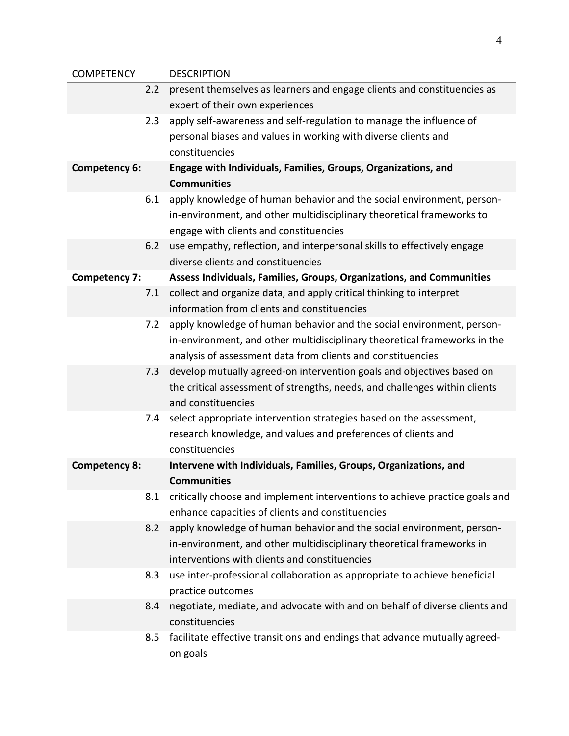| <b>COMPETENCY</b>    |     | <b>DESCRIPTION</b>                                                                             |
|----------------------|-----|------------------------------------------------------------------------------------------------|
|                      | 2.2 | present themselves as learners and engage clients and constituencies as                        |
|                      |     | expert of their own experiences                                                                |
|                      | 2.3 | apply self-awareness and self-regulation to manage the influence of                            |
|                      |     | personal biases and values in working with diverse clients and                                 |
|                      |     | constituencies                                                                                 |
| <b>Competency 6:</b> |     | Engage with Individuals, Families, Groups, Organizations, and                                  |
|                      |     | <b>Communities</b>                                                                             |
|                      | 6.1 | apply knowledge of human behavior and the social environment, person-                          |
|                      |     | in-environment, and other multidisciplinary theoretical frameworks to                          |
|                      |     | engage with clients and constituencies                                                         |
|                      | 6.2 | use empathy, reflection, and interpersonal skills to effectively engage                        |
|                      |     | diverse clients and constituencies                                                             |
| <b>Competency 7:</b> |     | Assess Individuals, Families, Groups, Organizations, and Communities                           |
|                      | 7.1 | collect and organize data, and apply critical thinking to interpret                            |
|                      |     | information from clients and constituencies                                                    |
|                      | 7.2 | apply knowledge of human behavior and the social environment, person-                          |
|                      |     | in-environment, and other multidisciplinary theoretical frameworks in the                      |
|                      |     | analysis of assessment data from clients and constituencies                                    |
|                      | 7.3 | develop mutually agreed-on intervention goals and objectives based on                          |
|                      |     | the critical assessment of strengths, needs, and challenges within clients                     |
|                      |     | and constituencies                                                                             |
|                      | 7.4 | select appropriate intervention strategies based on the assessment,                            |
|                      |     | research knowledge, and values and preferences of clients and                                  |
|                      |     | constituencies                                                                                 |
| <b>Competency 8:</b> |     | Intervene with Individuals, Families, Groups, Organizations, and                               |
|                      |     | <b>Communities</b>                                                                             |
|                      | 8.1 | critically choose and implement interventions to achieve practice goals and                    |
|                      |     | enhance capacities of clients and constituencies                                               |
|                      | 8.2 | apply knowledge of human behavior and the social environment, person-                          |
|                      |     | in-environment, and other multidisciplinary theoretical frameworks in                          |
|                      |     | interventions with clients and constituencies                                                  |
|                      | 8.3 | use inter-professional collaboration as appropriate to achieve beneficial<br>practice outcomes |
|                      | 8.4 | negotiate, mediate, and advocate with and on behalf of diverse clients and                     |
|                      |     | constituencies                                                                                 |
|                      | 8.5 | facilitate effective transitions and endings that advance mutually agreed-                     |
|                      |     | on goals                                                                                       |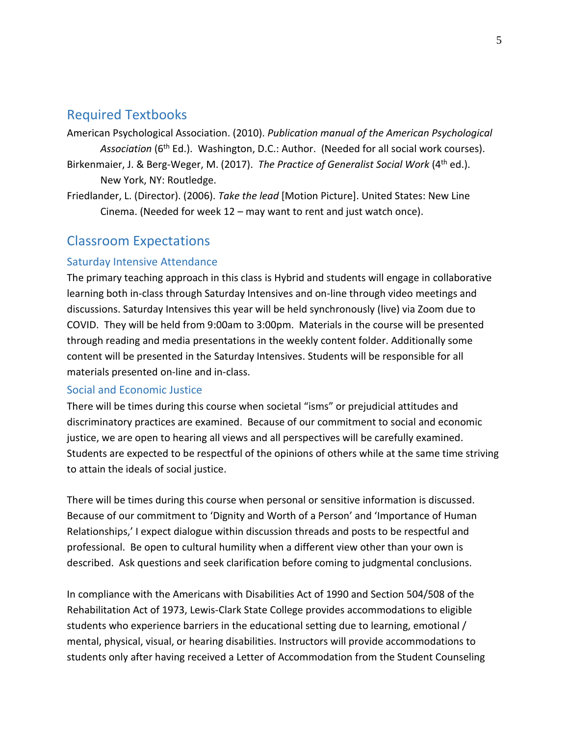## Required Textbooks

American Psychological Association. (2010). *Publication manual of the American Psychological*  Association (6<sup>th</sup> Ed.). Washington, D.C.: Author. (Needed for all social work courses).

- Birkenmaier, J. & Berg-Weger, M. (2017). *The Practice of Generalist Social Work* (4th ed.). New York, NY: Routledge.
- Friedlander, L. (Director). (2006). *Take the lead* [Motion Picture]. United States: New Line Cinema. (Needed for week 12 – may want to rent and just watch once).

## Classroom Expectations

#### Saturday Intensive Attendance

The primary teaching approach in this class is Hybrid and students will engage in collaborative learning both in-class through Saturday Intensives and on-line through video meetings and discussions. Saturday Intensives this year will be held synchronously (live) via Zoom due to COVID. They will be held from 9:00am to 3:00pm. Materials in the course will be presented through reading and media presentations in the weekly content folder. Additionally some content will be presented in the Saturday Intensives. Students will be responsible for all materials presented on-line and in-class.

#### Social and Economic Justice

There will be times during this course when societal "isms" or prejudicial attitudes and discriminatory practices are examined. Because of our commitment to social and economic justice, we are open to hearing all views and all perspectives will be carefully examined. Students are expected to be respectful of the opinions of others while at the same time striving to attain the ideals of social justice.

There will be times during this course when personal or sensitive information is discussed. Because of our commitment to 'Dignity and Worth of a Person' and 'Importance of Human Relationships,' I expect dialogue within discussion threads and posts to be respectful and professional. Be open to cultural humility when a different view other than your own is described. Ask questions and seek clarification before coming to judgmental conclusions.

In compliance with the Americans with Disabilities Act of 1990 and Section 504/508 of the Rehabilitation Act of 1973, Lewis-Clark State College provides accommodations to eligible students who experience barriers in the educational setting due to learning, emotional / mental, physical, visual, or hearing disabilities. Instructors will provide accommodations to students only after having received a Letter of Accommodation from the Student Counseling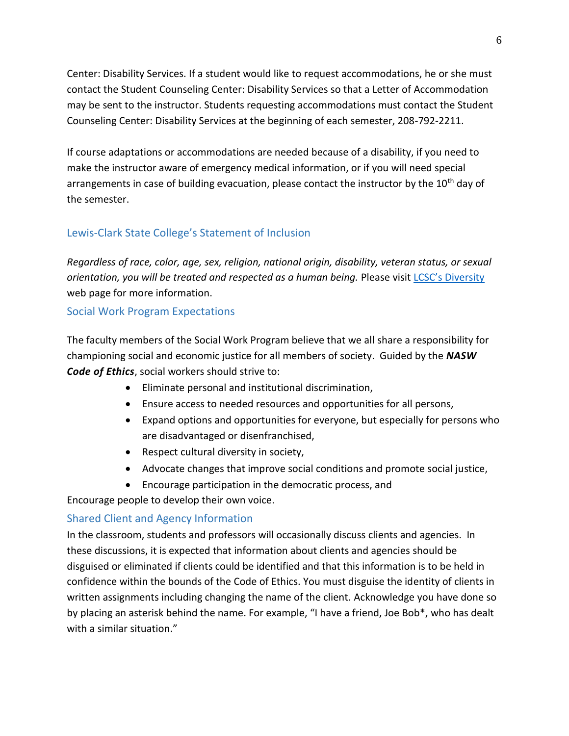Center: Disability Services. If a student would like to request accommodations, he or she must contact the Student Counseling Center: Disability Services so that a Letter of Accommodation may be sent to the instructor. Students requesting accommodations must contact the Student Counseling Center: Disability Services at the beginning of each semester, 208-792-2211.

If course adaptations or accommodations are needed because of a disability, if you need to make the instructor aware of emergency medical information, or if you will need special arrangements in case of building evacuation, please contact the instructor by the 10<sup>th</sup> day of the semester.

#### Lewis-Clark State College's Statement of Inclusion

*Regardless of race, color, age, sex, religion, national origin, disability, veteran status, or sexual orientation, you will be treated and respected as a human being.* Please visit [LCSC's Diversity](http://www.lcsc.edu/diversity/) web page for more information.

#### Social Work Program Expectations

The faculty members of the Social Work Program believe that we all share a responsibility for championing social and economic justice for all members of society. Guided by the *NASW Code of Ethics*, social workers should strive to:

- Eliminate personal and institutional discrimination,
- Ensure access to needed resources and opportunities for all persons,
- Expand options and opportunities for everyone, but especially for persons who are disadvantaged or disenfranchised,
- Respect cultural diversity in society,
- Advocate changes that improve social conditions and promote social justice,
- Encourage participation in the democratic process, and

Encourage people to develop their own voice.

#### Shared Client and Agency Information

In the classroom, students and professors will occasionally discuss clients and agencies. In these discussions, it is expected that information about clients and agencies should be disguised or eliminated if clients could be identified and that this information is to be held in confidence within the bounds of the Code of Ethics. You must disguise the identity of clients in written assignments including changing the name of the client. Acknowledge you have done so by placing an asterisk behind the name. For example, "I have a friend, Joe Bob\*, who has dealt with a similar situation."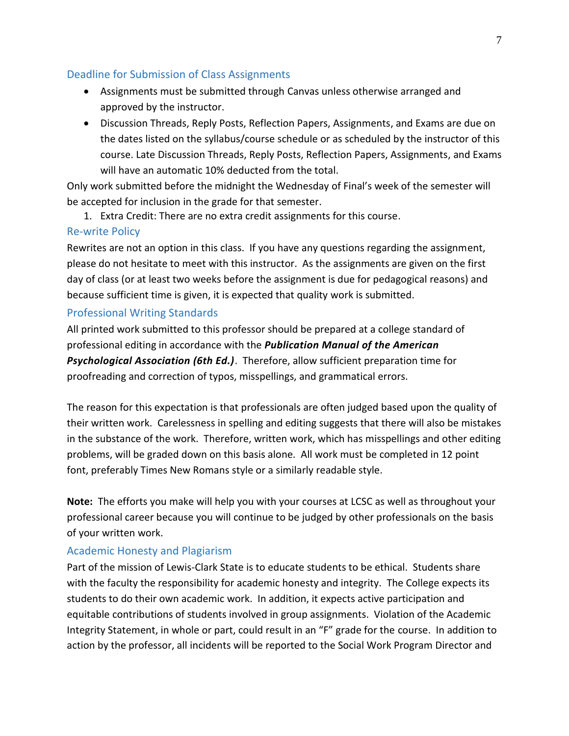#### Deadline for Submission of Class Assignments

- Assignments must be submitted through Canvas unless otherwise arranged and approved by the instructor.
- Discussion Threads, Reply Posts, Reflection Papers, Assignments, and Exams are due on the dates listed on the syllabus/course schedule or as scheduled by the instructor of this course. Late Discussion Threads, Reply Posts, Reflection Papers, Assignments, and Exams will have an automatic 10% deducted from the total.

Only work submitted before the midnight the Wednesday of Final's week of the semester will be accepted for inclusion in the grade for that semester.

1. Extra Credit: There are no extra credit assignments for this course.

#### Re-write Policy

Rewrites are not an option in this class. If you have any questions regarding the assignment, please do not hesitate to meet with this instructor. As the assignments are given on the first day of class (or at least two weeks before the assignment is due for pedagogical reasons) and because sufficient time is given, it is expected that quality work is submitted.

#### Professional Writing Standards

All printed work submitted to this professor should be prepared at a college standard of professional editing in accordance with the *Publication Manual of the American Psychological Association (6th Ed.)*. Therefore, allow sufficient preparation time for proofreading and correction of typos, misspellings, and grammatical errors.

The reason for this expectation is that professionals are often judged based upon the quality of their written work. Carelessness in spelling and editing suggests that there will also be mistakes in the substance of the work. Therefore, written work, which has misspellings and other editing problems, will be graded down on this basis alone. All work must be completed in 12 point font, preferably Times New Romans style or a similarly readable style.

**Note:** The efforts you make will help you with your courses at LCSC as well as throughout your professional career because you will continue to be judged by other professionals on the basis of your written work.

#### Academic Honesty and Plagiarism

Part of the mission of Lewis-Clark State is to educate students to be ethical. Students share with the faculty the responsibility for academic honesty and integrity. The College expects its students to do their own academic work. In addition, it expects active participation and equitable contributions of students involved in group assignments. Violation of the Academic Integrity Statement, in whole or part, could result in an "F" grade for the course. In addition to action by the professor, all incidents will be reported to the Social Work Program Director and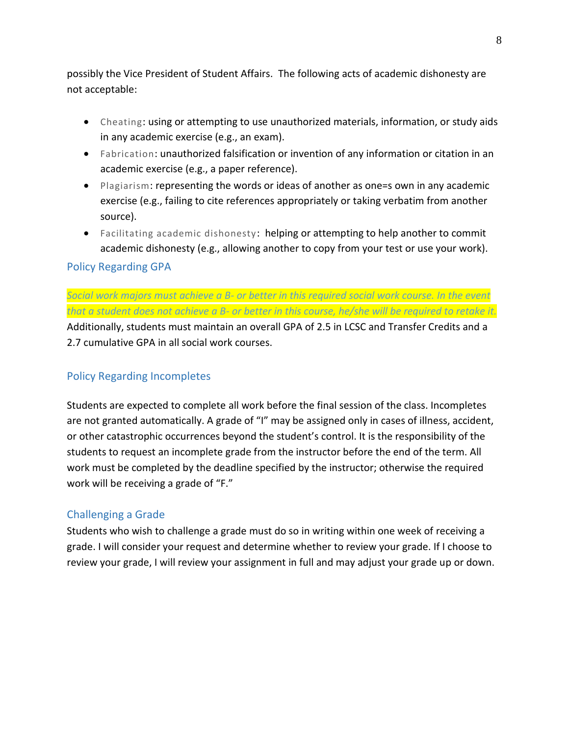possibly the Vice President of Student Affairs. The following acts of academic dishonesty are not acceptable:

- Cheating: using or attempting to use unauthorized materials, information, or study aids in any academic exercise (e.g., an exam).
- Fabrication: unauthorized falsification or invention of any information or citation in an academic exercise (e.g., a paper reference).
- Plagiarism: representing the words or ideas of another as one=s own in any academic exercise (e.g., failing to cite references appropriately or taking verbatim from another source).
- Facilitating academic dishonesty: helping or attempting to help another to commit academic dishonesty (e.g., allowing another to copy from your test or use your work).

#### Policy Regarding GPA

*Social work majors must achieve a B- or better in this required social work course. In the event that a student does not achieve a B- or better in this course, he/she will be required to retake it.* Additionally, students must maintain an overall GPA of 2.5 in LCSC and Transfer Credits and a 2.7 cumulative GPA in all social work courses.

#### Policy Regarding Incompletes

Students are expected to complete all work before the final session of the class. Incompletes are not granted automatically. A grade of "I" may be assigned only in cases of illness, accident, or other catastrophic occurrences beyond the student's control. It is the responsibility of the students to request an incomplete grade from the instructor before the end of the term. All work must be completed by the deadline specified by the instructor; otherwise the required work will be receiving a grade of "F."

#### Challenging a Grade

Students who wish to challenge a grade must do so in writing within one week of receiving a grade. I will consider your request and determine whether to review your grade. If I choose to review your grade, I will review your assignment in full and may adjust your grade up or down.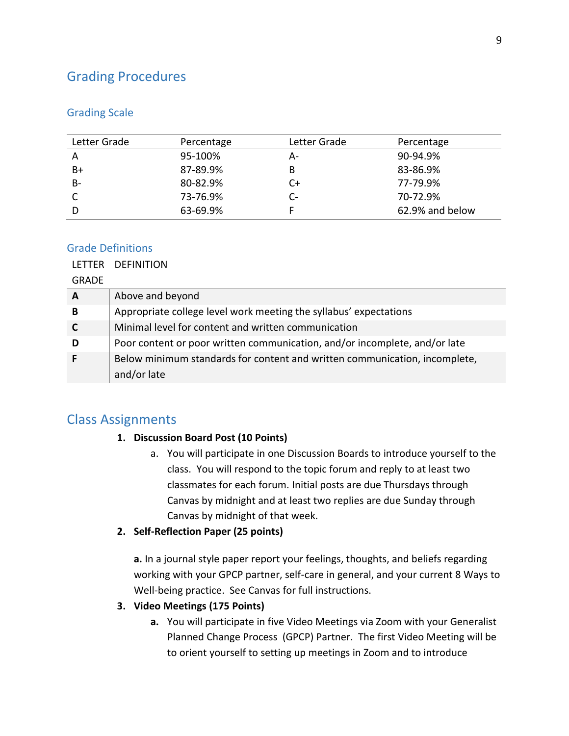## Grading Procedures

#### Grading Scale

| Letter Grade | Percentage | Letter Grade | Percentage      |
|--------------|------------|--------------|-----------------|
| A            | 95-100%    | А-           | 90-94.9%        |
| B+           | 87-89.9%   | В            | 83-86.9%        |
| $B -$        | 80-82.9%   | C+           | 77-79.9%        |
|              | 73-76.9%   | C-           | 70-72.9%        |
|              | 63-69.9%   |              | 62.9% and below |

#### Grade Definitions

#### LETTER DEFINITION

GRADE

| A | Above and beyond                                                           |
|---|----------------------------------------------------------------------------|
| B | Appropriate college level work meeting the syllabus' expectations          |
|   | Minimal level for content and written communication                        |
| D | Poor content or poor written communication, and/or incomplete, and/or late |
|   | Below minimum standards for content and written communication, incomplete, |
|   | and/or late                                                                |

#### Class Assignments

#### **1. Discussion Board Post (10 Points)**

a. You will participate in one Discussion Boards to introduce yourself to the class. You will respond to the topic forum and reply to at least two classmates for each forum. Initial posts are due Thursdays through Canvas by midnight and at least two replies are due Sunday through Canvas by midnight of that week.

#### **2. Self-Reflection Paper (25 points)**

**a.** In a journal style paper report your feelings, thoughts, and beliefs regarding working with your GPCP partner, self-care in general, and your current 8 Ways to Well-being practice. See Canvas for full instructions.

#### **3. Video Meetings (175 Points)**

**a.** You will participate in five Video Meetings via Zoom with your Generalist Planned Change Process (GPCP) Partner. The first Video Meeting will be to orient yourself to setting up meetings in Zoom and to introduce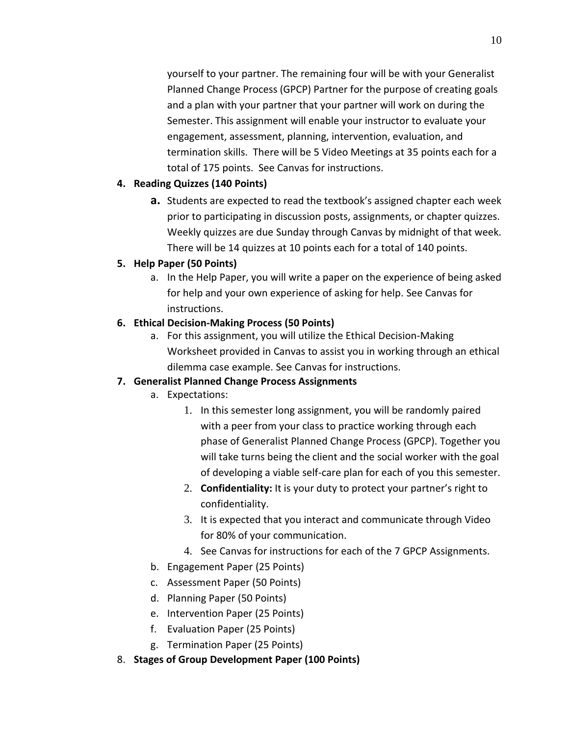yourself to your partner. The remaining four will be with your Generalist Planned Change Process (GPCP) Partner for the purpose of creating goals and a plan with your partner that your partner will work on during the Semester. This assignment will enable your instructor to evaluate your engagement, assessment, planning, intervention, evaluation, and termination skills. There will be 5 Video Meetings at 35 points each for a total of 175 points. See Canvas for instructions.

#### **4. Reading Quizzes (140 Points)**

**a.** Students are expected to read the textbook's assigned chapter each week prior to participating in discussion posts, assignments, or chapter quizzes. Weekly quizzes are due Sunday through Canvas by midnight of that week. There will be 14 quizzes at 10 points each for a total of 140 points.

#### **5. Help Paper (50 Points)**

a. In the Help Paper, you will write a paper on the experience of being asked for help and your own experience of asking for help. See Canvas for instructions.

#### **6. Ethical Decision-Making Process (50 Points)**

a. For this assignment, you will utilize the Ethical Decision-Making Worksheet provided in Canvas to assist you in working through an ethical dilemma case example. See Canvas for instructions.

#### **7. Generalist Planned Change Process Assignments**

- a. Expectations:
	- 1. In this semester long assignment, you will be randomly paired with a peer from your class to practice working through each phase of Generalist Planned Change Process (GPCP). Together you will take turns being the client and the social worker with the goal of developing a viable self-care plan for each of you this semester.
	- 2. **Confidentiality:** It is your duty to protect your partner's right to confidentiality.
	- 3. It is expected that you interact and communicate through Video for 80% of your communication.
	- 4. See Canvas for instructions for each of the 7 GPCP Assignments.
- b. Engagement Paper (25 Points)
- c. Assessment Paper (50 Points)
- d. Planning Paper (50 Points)
- e. Intervention Paper (25 Points)
- f. Evaluation Paper (25 Points)
- g. Termination Paper (25 Points)
- 8. **Stages of Group Development Paper (100 Points)**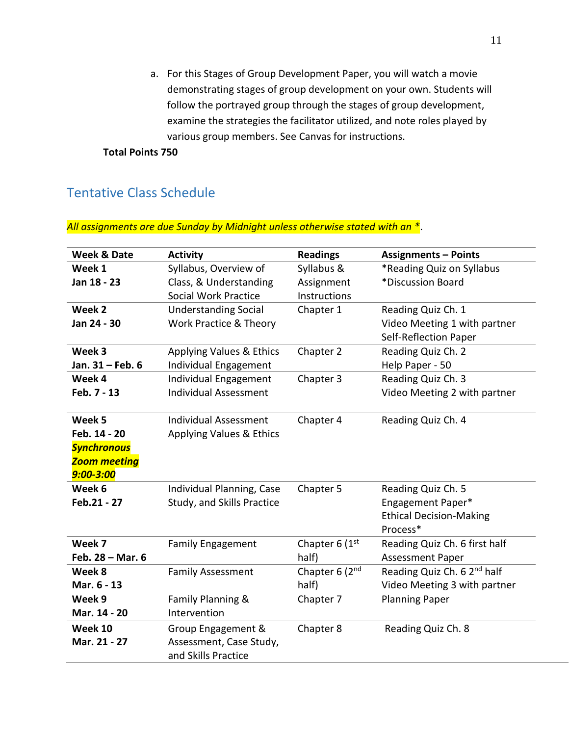a. For this Stages of Group Development Paper, you will watch a movie demonstrating stages of group development on your own. Students will follow the portrayed group through the stages of group development, examine the strategies the facilitator utilized, and note roles played by various group members. See Canvas for instructions.

**Total Points 750**

## Tentative Class Schedule

*All assignments are due Sunday by Midnight unless otherwise stated with an \**.

| <b>Week &amp; Date</b> | <b>Activity</b>              | <b>Readings</b>  | <b>Assignments - Points</b>             |
|------------------------|------------------------------|------------------|-----------------------------------------|
| Week 1                 | Syllabus, Overview of        | Syllabus &       | *Reading Quiz on Syllabus               |
| Jan 18 - 23            | Class, & Understanding       | Assignment       | *Discussion Board                       |
|                        | <b>Social Work Practice</b>  | Instructions     |                                         |
| Week 2                 | <b>Understanding Social</b>  | Chapter 1        | Reading Quiz Ch. 1                      |
| Jan 24 - 30            | Work Practice & Theory       |                  | Video Meeting 1 with partner            |
|                        |                              |                  | Self-Reflection Paper                   |
| Week 3                 | Applying Values & Ethics     | Chapter 2        | Reading Quiz Ch. 2                      |
| Jan. 31 - Feb. 6       | Individual Engagement        |                  | Help Paper - 50                         |
| Week 4                 | Individual Engagement        | Chapter 3        | Reading Quiz Ch. 3                      |
| Feb. 7 - 13            | <b>Individual Assessment</b> |                  | Video Meeting 2 with partner            |
|                        |                              |                  |                                         |
| Week 5                 | <b>Individual Assessment</b> | Chapter 4        | Reading Quiz Ch. 4                      |
| Feb. 14 - 20           | Applying Values & Ethics     |                  |                                         |
| <b>Synchronous</b>     |                              |                  |                                         |
| <b>Zoom meeting</b>    |                              |                  |                                         |
| 9:00-3:00              |                              |                  |                                         |
| Week 6                 | Individual Planning, Case    | Chapter 5        | Reading Quiz Ch. 5                      |
| Feb.21 - 27            | Study, and Skills Practice   |                  | Engagement Paper*                       |
|                        |                              |                  | <b>Ethical Decision-Making</b>          |
|                        |                              |                  | Process*                                |
| Week 7                 | <b>Family Engagement</b>     | Chapter 6 $(1st$ | Reading Quiz Ch. 6 first half           |
| Feb. 28 - Mar. 6       |                              | half)            | <b>Assessment Paper</b>                 |
| Week 8                 | <b>Family Assessment</b>     | Chapter 6 (2nd   | Reading Quiz Ch. 6 2 <sup>nd</sup> half |
| Mar. 6 - 13            |                              | half)            | Video Meeting 3 with partner            |
| Week 9                 | Family Planning &            | Chapter 7        | <b>Planning Paper</b>                   |
| Mar. 14 - 20           | Intervention                 |                  |                                         |
| Week 10                | Group Engagement &           | Chapter 8        | Reading Quiz Ch. 8                      |
| Mar. 21 - 27           | Assessment, Case Study,      |                  |                                         |
|                        | and Skills Practice          |                  |                                         |